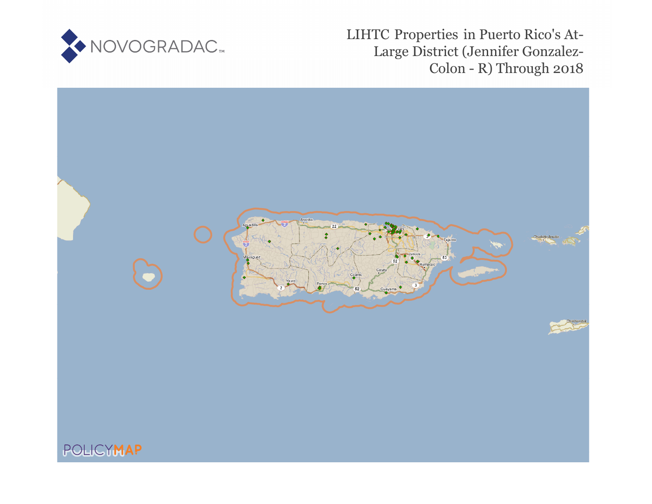

LIHTC Properties in Puerto Rico's At-Large District (Jennifer Gonzalez-Colon - R) Through 2018

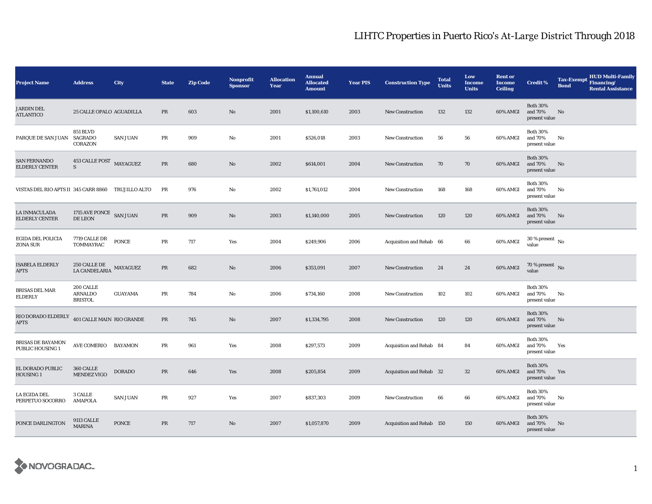| <b>Project Name</b>                                | <b>Address</b>                         | City            | <b>State</b> | <b>Zip Code</b> | <b>Nonprofit</b><br><b>Sponsor</b> | <b>Allocation</b><br>Year | <b>Annual</b><br><b>Allocated</b><br><b>Amount</b> | Year PIS | <b>Construction Type</b>  | <b>Total</b><br><b>Units</b> | Low<br><b>Income</b><br><b>Units</b> | <b>Rent or</b><br><b>Income</b><br><b>Ceiling</b> | <b>Credit %</b>                             | <b>Tax-Exempt</b><br><b>Bond</b> | <b>HUD Multi-Family</b><br>Financing/<br><b>Rental Assistance</b> |
|----------------------------------------------------|----------------------------------------|-----------------|--------------|-----------------|------------------------------------|---------------------------|----------------------------------------------------|----------|---------------------------|------------------------------|--------------------------------------|---------------------------------------------------|---------------------------------------------|----------------------------------|-------------------------------------------------------------------|
| <b>JARDIN DEL</b><br><b>ATLANTICO</b>              | 25 CALLE OPALO AGUADILLA               |                 | PR           | 603             | No                                 | 2001                      | \$1,100,610                                        | 2003     | <b>New Construction</b>   | 132                          | 132                                  | 60% AMGI                                          | <b>Both 30%</b><br>and 70%<br>present value | No                               |                                                                   |
| PARQUE DE SAN JUAN                                 | <b>851 BLVD</b><br>SAGRADO<br>CORAZON  | SAN JUAN        | PR           | 909             | No                                 | 2001                      | \$526,018                                          | 2003     | <b>New Construction</b>   | 56                           | 56                                   | 60% AMGI                                          | <b>Both 30%</b><br>and 70%<br>present value | No                               |                                                                   |
| <b>SAN FERNANDO</b><br><b>ELDERLY CENTER</b>       | 453 CALLE POST MAYAGUEZ<br>$\mathbf S$ |                 | $\rm PR$     | 680             | No                                 | 2002                      | \$614,001                                          | 2004     | <b>New Construction</b>   | 70                           | 70                                   | 60% AMGI                                          | <b>Both 30%</b><br>and 70%<br>present value | No                               |                                                                   |
| VISTAS DEL RIO APTS II 345 CARR 8860 TRUJILLO ALTO |                                        |                 | PR           | 976             | No                                 | 2002                      | \$1,761,012                                        | 2004     | <b>New Construction</b>   | 168                          | 168                                  | 60% AMGI                                          | <b>Both 30%</b><br>and 70%<br>present value | No                               |                                                                   |
| LA INMACULADA<br><b>ELDERLY CENTER</b>             | 1715 AVE PONCE SAN JUAN<br>DE LEON     |                 | PR           | 909             | No                                 | 2003                      | \$1,140,000                                        | 2005     | <b>New Construction</b>   | 120                          | 120                                  | 60% AMGI                                          | <b>Both 30%</b><br>and 70%<br>present value | No                               |                                                                   |
| EGIDA DEL POLICIA<br>ZONA SUR                      | 7719 CALLE DR<br>TOMMAYRAC             | <b>PONCE</b>    | PR           | 717             | Yes                                | 2004                      | \$249,906                                          | 2006     | Acquisition and Rehab 66  |                              | 66                                   | 60% AMGI                                          | $30$ % present $\,$ No $\,$<br>value        |                                  |                                                                   |
| <b>ISABELA ELDERLY</b><br><b>APTS</b>              | 250 CALLE DE<br>LA CANDELARIA          | MAYAGUEZ        | PR           | 682             | No                                 | 2006                      | \$353,091                                          | 2007     | <b>New Construction</b>   | 24                           | 24                                   | 60% AMGI                                          | 70 % present No<br>value                    |                                  |                                                                   |
| <b>BRISAS DEL MAR</b><br><b>ELDERLY</b>            | 200 CALLE<br>ARNALDO<br><b>BRISTOL</b> | <b>GUAYAMA</b>  | PR           | 784             | No                                 | 2006                      | \$734,160                                          | 2008     | <b>New Construction</b>   | 102                          | 102                                  | 60% AMGI                                          | <b>Both 30%</b><br>and 70%<br>present value | No                               |                                                                   |
| $\rm RIO$ DORADO ELDERLY<br><b>APTS</b>            | 401 CALLE MAIN RIO GRANDE              |                 | $\rm PR$     | 745             | No                                 | 2007                      | \$1,334,795                                        | 2008     | <b>New Construction</b>   | 120                          | 120                                  | 60% AMGI                                          | <b>Both 30%</b><br>and 70%<br>present value | No                               |                                                                   |
| BRISAS DE BAYAMON<br>PUBLIC HOUSING 1              | AVE COMERIO BAYAMON                    |                 | PR           | 961             | Yes                                | 2008                      | \$297,573                                          | 2009     | Acquisition and Rehab 84  |                              | 84                                   | 60% AMGI                                          | <b>Both 30%</b><br>and 70%<br>present value | Yes                              |                                                                   |
| EL DORADO PUBLIC<br>HOUSING 1                      | 360 CALLE<br><b>MENDEZ VIGO</b>        | <b>DORADO</b>   | $\rm PR$     | 646             | Yes                                | 2008                      | \$205,854                                          | 2009     | Acquisition and Rehab 32  |                              | $32\,$                               | 60% AMGI                                          | <b>Both 30%</b><br>and 70%<br>present value | Yes                              |                                                                   |
| LA EGIDA DEL<br>PERPETUO SOCORRO                   | 3 CALLE<br>AMAPOLA                     | <b>SAN JUAN</b> | PR           | 927             | Yes                                | 2007                      | \$837,303                                          | 2009     | <b>New Construction</b>   | 66                           | 66                                   | 60% AMGI                                          | <b>Both 30%</b><br>and 70%<br>present value | No                               |                                                                   |
| PONCE DARLINGTON                                   | 9113 CALLE<br><b>MARINA</b>            | PONCE           | PR           | 717             | No                                 | 2007                      | \$1,057,870                                        | 2009     | Acquisition and Rehab 150 |                              | 150                                  | 60% AMGI                                          | <b>Both 30%</b><br>and 70%<br>present value | No                               |                                                                   |

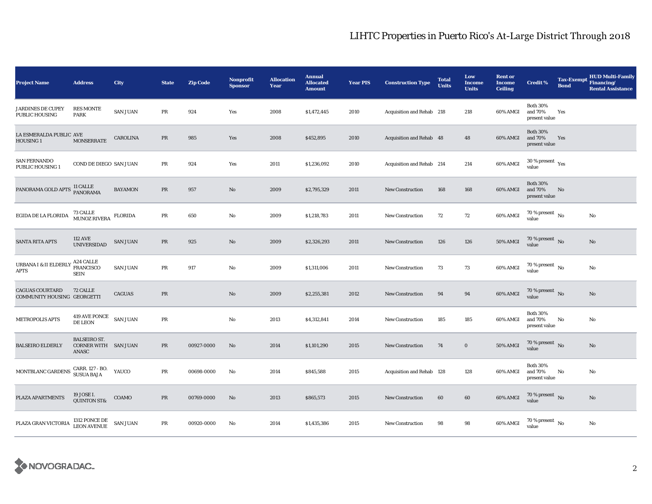| <b>Project Name</b>                                   | <b>Address</b>                                              | City            | <b>State</b> | <b>Zip Code</b> | <b>Nonprofit</b><br><b>Sponsor</b> | <b>Allocation</b><br>Year | <b>Annual</b><br><b>Allocated</b><br><b>Amount</b> | <b>Year PIS</b> | <b>Construction Type</b>  | <b>Total</b><br><b>Units</b> | Low<br><b>Income</b><br><b>Units</b> | <b>Rent or</b><br><b>Income</b><br><b>Ceiling</b> | <b>Credit %</b>                             | <b>Tax-Exempt</b><br><b>Bond</b> | <b>HUD Multi-Family</b><br>Financing/<br><b>Rental Assistance</b> |
|-------------------------------------------------------|-------------------------------------------------------------|-----------------|--------------|-----------------|------------------------------------|---------------------------|----------------------------------------------------|-----------------|---------------------------|------------------------------|--------------------------------------|---------------------------------------------------|---------------------------------------------|----------------------------------|-------------------------------------------------------------------|
| <b>JARDINES DE CUPEY</b><br><b>PUBLIC HOUSING</b>     | <b>RES MONTE</b><br><b>PARK</b>                             | <b>SAN JUAN</b> | PR           | 924             | Yes                                | 2008                      | \$1,472,445                                        | 2010            | Acquisition and Rehab 218 |                              | 218                                  | 60% AMGI                                          | <b>Both 30%</b><br>and 70%<br>present value | Yes                              |                                                                   |
| LA ESMERALDA PUBLIC AVE<br>HOUSING 1                  | <b>MONSERRATE</b>                                           | CAROLINA        | PR           | 985             | Yes                                | 2008                      | \$452,895                                          | 2010            | Acquisition and Rehab 48  |                              | 48                                   | 60% AMGI                                          | <b>Both 30%</b><br>and 70%<br>present value | Yes                              |                                                                   |
| <b>SAN FERNANDO</b><br>PUBLIC HOUSING 1               | COND DE DIEGO SAN JUAN                                      |                 | $\rm PR$     | 924             | Yes                                | 2011                      | \$1,236,092                                        | 2010            | Acquisition and Rehab 214 |                              | 214                                  | 60% AMGI                                          | $30\,\%$ present $\,$ $\rm Yes$<br>value    |                                  |                                                                   |
| PANORAMA GOLD APTS                                    | 11 CALLE<br>PANORAMA                                        | <b>BAYAMON</b>  | PR           | 957             | $\mathbf{N}\mathbf{o}$             | 2009                      | \$2,795,329                                        | 2011            | New Construction          | 168                          | 168                                  | 60% AMGI                                          | <b>Both 30%</b><br>and 70%<br>present value | No                               |                                                                   |
| EGIDA DE LA FLORIDA                                   | 73 CALLE<br>MUNOZ RIVERA                                    | <b>FLORIDA</b>  | $\rm PR$     | 650             | No                                 | 2009                      | \$1,218,783                                        | 2011            | <b>New Construction</b>   | 72                           | 72                                   | 60% AMGI                                          | 70 % present $\hbox{~No}$<br>value          |                                  | No                                                                |
| SANTA RITA APTS                                       | <b>112 AVE</b><br><b>UNIVERSIDAD</b>                        | <b>SAN JUAN</b> | PR           | 925             | No                                 | 2009                      | \$2,326,293                                        | 2011            | New Construction          | 126                          | 126                                  | <b>50% AMGI</b>                                   | 70 % present $\hbox{~No}$<br>value          |                                  | No                                                                |
| URBANA I & II ELDERLY<br><b>APTS</b>                  | A24 CALLE<br><b>FRANCISCO</b><br><b>SEIN</b>                | <b>SAN JUAN</b> | PR           | 917             | No                                 | 2009                      | \$1,311,006                                        | 2011            | New Construction          | 73                           | 73                                   | 60% AMGI                                          | 70 % present $\hbox{~No}$<br>value          |                                  | No                                                                |
| <b>CAGUAS COURTARD</b><br>COMMUNITY HOUSING GEORGETTI | 72 CALLE                                                    | CAGUAS          | $\rm PR$     |                 | No                                 | 2009                      | \$2,255,381                                        | 2012            | <b>New Construction</b>   | 94                           | 94                                   | 60% AMGI                                          | $70\%$ present No<br>value                  |                                  | No                                                                |
| METROPOLIS APTS                                       | 419 AVE PONCE SAN JUAN<br><b>DE LEON</b>                    |                 | PR           |                 | No                                 | 2013                      | \$4,312,841                                        | 2014            | New Construction          | 185                          | 185                                  | 60% AMGI                                          | <b>Both 30%</b><br>and 70%<br>present value | No                               | No                                                                |
| <b>BALSEIRO ELDERLY</b>                               | <b>BALSEIRO ST.</b><br><b>CORNER WITH SAN JUAN</b><br>ANASC |                 | PR           | 00927-0000      | No                                 | 2014                      | \$1,101,290                                        | 2015            | <b>New Construction</b>   | 74                           | $\bf{0}$                             | 50% AMGI                                          | 70 % present $\,$ No $\,$<br>value          |                                  | No                                                                |
| MONTBLANC GARDENS                                     | CARR. 127 - BO.<br>SUSUA BAJA                               | YAUCO           | PR           | 00698-0000      | No                                 | 2014                      | \$845,588                                          | 2015            | Acquisition and Rehab 128 |                              | 128                                  | 60% AMGI                                          | <b>Both 30%</b><br>and 70%<br>present value | No                               | No                                                                |
| PLAZA APARTMENTS                                      | 19 JOSE I.<br><b>QUINTON ST&amp;</b>                        | COAMO           | PR           | 00769-0000      | No                                 | 2013                      | \$865,573                                          | 2015            | <b>New Construction</b>   | 60                           | 60                                   | 60% AMGI                                          | $70\,\%$ present $\,$ No value              |                                  | $\mathbf{N}\mathbf{o}$                                            |
| PLAZA GRAN VICTORIA                                   | 1312 PONCE DE<br>LEON AVENUE                                | <b>SAN JUAN</b> | PR           | 00920-0000      | No                                 | 2014                      | \$1,435,386                                        | 2015            | New Construction          | 98                           | 98                                   | 60% AMGI                                          | 70 % present $\,$ No $\,$<br>value          |                                  | No                                                                |

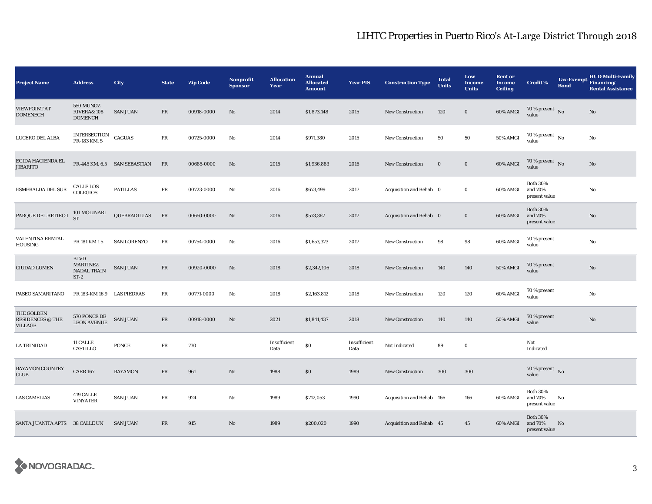| <b>Project Name</b>                       | <b>Address</b>                                          | City                         | <b>State</b> | <b>Zip Code</b> | <b>Nonprofit</b><br><b>Sponsor</b> | <b>Allocation</b><br>Year | <b>Annual</b><br><b>Allocated</b><br><b>Amount</b> | <b>Year PIS</b>      | <b>Construction Type</b>  | <b>Total</b><br><b>Units</b> | Low<br><b>Income</b><br><b>Units</b> | <b>Rent or</b><br><b>Income</b><br><b>Ceiling</b> | <b>Credit %</b>                             | <b>Tax-Exempt</b><br><b>Bond</b> | <b>HUD Multi-Family</b><br>Financing/<br><b>Rental Assistance</b> |
|-------------------------------------------|---------------------------------------------------------|------------------------------|--------------|-----------------|------------------------------------|---------------------------|----------------------------------------------------|----------------------|---------------------------|------------------------------|--------------------------------------|---------------------------------------------------|---------------------------------------------|----------------------------------|-------------------------------------------------------------------|
| <b>VIEWPOINT AT</b><br><b>DOMENECH</b>    | 550 MUNOZ<br><b>RIVERA&amp; 108</b><br><b>DOMENCH</b>   | <b>SAN JUAN</b>              | PR           | 00918-0000      | No                                 | 2014                      | \$1,873,148                                        | 2015                 | <b>New Construction</b>   | 120                          | $\bf{0}$                             | 60% AMGI                                          | 70 % present $\hbox{~No}$<br>value          |                                  | $\rm No$                                                          |
| LUCERO DEL ALBA                           | INTERSECTION<br>PR-183 KM. 5                            | <b>CAGUAS</b>                | PR           | 00725-0000      | No                                 | 2014                      | \$971,380                                          | 2015                 | <b>New Construction</b>   | 50                           | 50                                   | 50% AMGI                                          | 70 % present $\,$ No $\,$<br>value          |                                  | No                                                                |
| EGIDA HACIENDA EL<br><b>JIBARITO</b>      |                                                         | PR-445 KM. 6.5 SAN SEBASTIAN | PR           | 00685-0000      | No                                 | 2015                      | \$1,936,883                                        | 2016                 | <b>New Construction</b>   | $\bf{0}$                     | $\bf{0}$                             | 60% AMGI                                          | $70\,\%$ present $\,$ No value              |                                  | No                                                                |
| ESMERALDA DEL SUR                         | <b>CALLE LOS</b><br><b>COLEGIOS</b>                     | <b>PATILLAS</b>              | $\rm PR$     | 00723-0000      | No                                 | 2016                      | \$673,499                                          | 2017                 | Acquisition and Rehab 0   |                              | $\bf{0}$                             | 60% AMGI                                          | <b>Both 30%</b><br>and 70%<br>present value |                                  | $\mathbf{No}$                                                     |
| PARQUE DEL RETIRO I                       | 101 MOLINARI<br><b>ST</b>                               | QUEBRADILLAS                 | PR           | 00650-0000      | No                                 | 2016                      | \$573,367                                          | 2017                 | Acquisition and Rehab 0   |                              | $\bf{0}$                             | 60% AMGI                                          | <b>Both 30%</b><br>and 70%<br>present value |                                  | No                                                                |
| VALENTINA RENTAL<br>HOUSING               | PR 181 KM 15                                            | <b>SAN LORENZO</b>           | PR           | 00754-0000      | No                                 | 2016                      | \$1,653,373                                        | 2017                 | <b>New Construction</b>   | 98                           | 98                                   | 60% AMGI                                          | 70 % present<br>value                       |                                  | No                                                                |
| <b>CIUDAD LUMEN</b>                       | <b>BLVD</b><br><b>MARTINEZ</b><br>NADAL TRAIN<br>$ST-2$ | <b>SAN JUAN</b>              | PR           | 00920-0000      | No                                 | 2018                      | \$2,342,106                                        | 2018                 | <b>New Construction</b>   | 140                          | 140                                  | <b>50% AMGI</b>                                   | 70 % present<br>value                       |                                  | $\rm No$                                                          |
| PASEO SAMARITANO                          | PR 183-KM 16.9 LAS PIEDRAS                              |                              | PR           | 00771-0000      | No                                 | 2018                      | \$2,163,812                                        | 2018                 | <b>New Construction</b>   | 120                          | 120                                  | 60% AMGI                                          | 70 % present<br>value                       |                                  | No                                                                |
| THE GOLDEN<br>RESIDENCES @ THE<br>VILLAGE | 570 PONCE DE<br>LEON AVENUE                             | <b>SAN JUAN</b>              | PR           | 00918-0000      | No                                 | 2021                      | \$1,841,437                                        | 2018                 | <b>New Construction</b>   | 140                          | 140                                  | <b>50% AMGI</b>                                   | 70 % present<br>value                       |                                  | No                                                                |
| LA TRINIDAD                               | 11 CALLE<br>CASTILLO                                    | <b>PONCE</b>                 | $\rm PR$     | 730             |                                    | Insufficient<br>Data      | $\$0$                                              | Insufficient<br>Data | Not Indicated             | 89                           | $\bf{0}$                             |                                                   | Not<br>Indicated                            |                                  |                                                                   |
| <b>BAYAMON COUNTRY</b><br><b>CLUB</b>     | <b>CARR 167</b>                                         | <b>BAYAMON</b>               | PR           | 961             | No                                 | 1988                      | \$0                                                | 1989                 | <b>New Construction</b>   | 300                          | 300                                  |                                                   | 70 % present $\bar{N}$<br>value             |                                  |                                                                   |
| <b>LAS CAMELIAS</b>                       | 419 CALLE<br><b>VINYATER</b>                            | <b>SAN JUAN</b>              | PR           | 924             | No                                 | 1989                      | \$712,053                                          | 1990                 | Acquisition and Rehab 166 |                              | 166                                  | 60% AMGI                                          | <b>Both 30%</b><br>and 70%<br>present value | No                               |                                                                   |
| SANTA JUANITA APTS 38 CALLE UN            |                                                         | <b>SAN JUAN</b>              | PR           | 915             | No                                 | 1989                      | \$200,020                                          | 1990                 | Acquisition and Rehab 45  |                              | 45                                   | 60% AMGI                                          | <b>Both 30%</b><br>and 70%<br>present value | No                               |                                                                   |

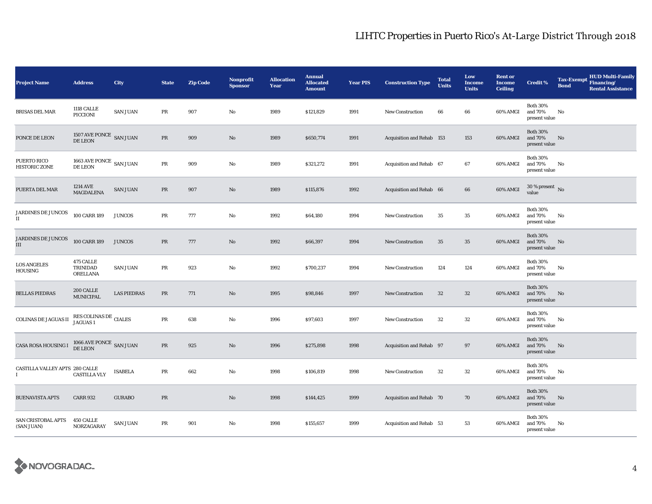| <b>Project Name</b>                 | <b>Address</b>                                        | City               | <b>State</b> | <b>Zip Code</b> | <b>Nonprofit</b><br><b>Sponsor</b> | <b>Allocation</b><br>Year | <b>Annual</b><br><b>Allocated</b><br><b>Amount</b> | <b>Year PIS</b> | <b>Construction Type</b>  | <b>Total</b><br><b>Units</b> | Low<br><b>Income</b><br><b>Units</b> | <b>Rent or</b><br><b>Income</b><br><b>Ceiling</b> | <b>Credit %</b>                             | <b>Tax-Exempt</b><br><b>Bond</b> | <b>HUD Multi-Family</b><br>Financing/<br><b>Rental Assistance</b> |
|-------------------------------------|-------------------------------------------------------|--------------------|--------------|-----------------|------------------------------------|---------------------------|----------------------------------------------------|-----------------|---------------------------|------------------------------|--------------------------------------|---------------------------------------------------|---------------------------------------------|----------------------------------|-------------------------------------------------------------------|
| <b>BRISAS DEL MAR</b>               | <b>1118 CALLE</b><br>PICCIONI                         | <b>SAN JUAN</b>    | PR           | 907             | No                                 | 1989                      | \$121,829                                          | 1991            | New Construction          | 66                           | 66                                   | 60% AMGI                                          | <b>Both 30%</b><br>and 70%<br>present value | No                               |                                                                   |
| PONCE DE LEON                       | $1507\,\mathrm{AVE}\,\mathrm{PONCE}$ SAN JUAN DE LEON |                    | PR           | 909             | No                                 | 1989                      | \$650,774                                          | 1991            | Acquisition and Rehab 153 |                              | 153                                  | 60% AMGI                                          | <b>Both 30%</b><br>and 70%<br>present value | No                               |                                                                   |
| PUERTO RICO<br><b>HISTORIC ZONE</b> | $1663$ AVE PONCE $\,$ SAN JUAN DE LEON                |                    | PR           | 909             | $\mathbf{No}$                      | 1989                      | \$321,272                                          | 1991            | Acquisition and Rehab 67  |                              | 67                                   | 60% AMGI                                          | <b>Both 30%</b><br>and 70%<br>present value | No                               |                                                                   |
| PUERTA DEL MAR                      | 1214 AVE<br>MAGDALENA                                 | <b>SAN JUAN</b>    | PR           | 907             | No                                 | 1989                      | \$115,876                                          | 1992            | Acquisition and Rehab 66  |                              | 66                                   | 60% AMGI                                          | $30$ % present $\,$ No $\,$<br>value        |                                  |                                                                   |
| JARDINES DE JUNCOS<br>$\mathbf{I}$  | 100 CARR 189                                          | <b>JUNCOS</b>      | PR           | 777             | No                                 | 1992                      | \$64,180                                           | 1994            | New Construction          | 35                           | 35                                   | 60% AMGI                                          | <b>Both 30%</b><br>and 70%<br>present value | No                               |                                                                   |
| JARDINES DE JUNCOS<br>$\rm III$     | 100 CARR 189                                          | <b>JUNCOS</b>      | PR           | 777             | No                                 | 1992                      | \$66,397                                           | 1994            | <b>New Construction</b>   | 35                           | 35                                   | 60% AMGI                                          | <b>Both 30%</b><br>and 70%<br>present value | No                               |                                                                   |
| <b>LOS ANGELES</b><br>HOUSING       | 475 CALLE<br>TRINIDAD<br><b>ORELLANA</b>              | <b>SAN JUAN</b>    | PR           | 923             | No                                 | 1992                      | \$700,237                                          | 1994            | New Construction          | 124                          | 124                                  | 60% AMGI                                          | <b>Both 30%</b><br>and 70%<br>present value | No                               |                                                                   |
| <b>BELLAS PIEDRAS</b>               | 200 CALLE<br><b>MUNICIPAL</b>                         | <b>LAS PIEDRAS</b> | PR           | 771             | No                                 | 1995                      | \$98,846                                           | 1997            | <b>New Construction</b>   | 32                           | $32\,$                               | 60% AMGI                                          | <b>Both 30%</b><br>and 70%<br>present value | No                               |                                                                   |
| <b>COLINAS DE JAGUAS II</b>         | ${\hbox{RES}}$ COLINAS DE $\hbox{CIALES}$ JAGUAS 1    |                    | PR           | 638             | $\mathbf{No}$                      | 1996                      | \$97,603                                           | 1997            | New Construction          | 32                           | 32                                   | 60% AMGI                                          | <b>Both 30%</b><br>and 70%<br>present value | No                               |                                                                   |
| CASA ROSA HOUSING I                 | $1066$ AVE PONCE $\,$ SAN JUAN DE LEON $\,$           |                    | PR           | 925             | No                                 | 1996                      | \$275,898                                          | 1998            | Acquisition and Rehab 97  |                              | 97                                   | 60% AMGI                                          | <b>Both 30%</b><br>and 70%<br>present value | No                               |                                                                   |
| CASTILLA VALLEY APTS 280 CALLE<br>L | <b>CASTILLA VLY</b>                                   | <b>ISABELA</b>     | $\rm PR$     | 662             | No                                 | 1998                      | \$106,819                                          | 1998            | <b>New Construction</b>   | $32\,$                       | $32\,$                               | 60% AMGI                                          | <b>Both 30%</b><br>and 70%<br>present value | No                               |                                                                   |
| <b>BUENAVISTA APTS</b>              | <b>CARR 932</b>                                       | <b>GURABO</b>      | PR           |                 | No                                 | 1998                      | \$144,425                                          | 1999            | Acquisition and Rehab 70  |                              | 70                                   | 60% AMGI                                          | <b>Both 30%</b><br>and 70%<br>present value | No                               |                                                                   |
| SAN CRISTOBAL APTS<br>(SAN JUAN)    | <b>450 CALLE</b><br>NORZAGARAY                        | <b>SAN JUAN</b>    | PR           | 901             | No                                 | 1998                      | \$155,657                                          | 1999            | Acquisition and Rehab 53  |                              | 53                                   | 60% AMGI                                          | <b>Both 30%</b><br>and 70%<br>present value | No                               |                                                                   |

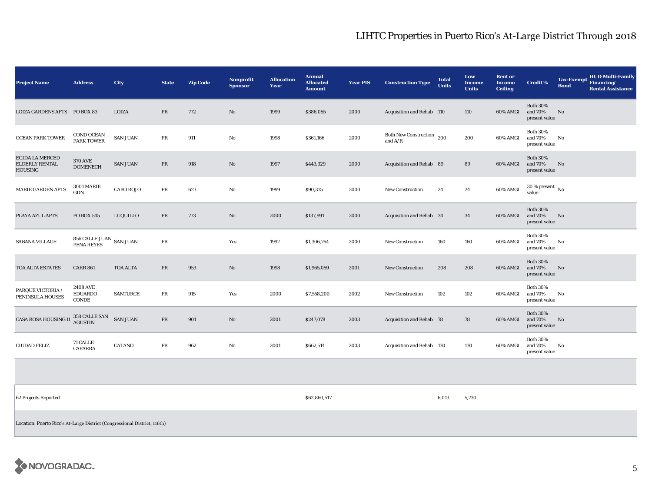| <b>Project Name</b>                          | <b>Address</b>                             | City             | <b>State</b> | <b>Zip Code</b> | <b>Nonprofit</b><br><b>Sponsor</b> | <b>Allocation</b><br>Year | <b>Annual</b><br><b>Allocated</b><br><b>Amount</b> | <b>Year PIS</b> | <b>Construction Type</b>                                 | <b>Total</b><br><b>Units</b> | Low<br><b>Income</b><br><b>Units</b> | <b>Rent or</b><br><b>Income</b><br><b>Ceiling</b> | <b>Credit %</b>                             | <b>Tax-Exempt</b><br><b>Bond</b> | <b>HUD Multi-Family</b><br>Financing/<br><b>Rental Assistance</b> |
|----------------------------------------------|--------------------------------------------|------------------|--------------|-----------------|------------------------------------|---------------------------|----------------------------------------------------|-----------------|----------------------------------------------------------|------------------------------|--------------------------------------|---------------------------------------------------|---------------------------------------------|----------------------------------|-------------------------------------------------------------------|
| LOIZA GARDENS APTS PO BOX 83                 |                                            | LOIZA            | PR           | 772             | No                                 | 1999                      | \$386,055                                          | 2000            | Acquisition and Rehab 110                                |                              | 110                                  | 60% AMGI                                          | <b>Both 30%</b><br>and 70%<br>present value | No                               |                                                                   |
| <b>OCEAN PARK TOWER</b>                      | COND OCEAN<br><b>PARK TOWER</b>            | <b>SAN JUAN</b>  | PR           | 911             | No                                 | 1998                      | \$361,166                                          | 2000            | Both New Construction 200<br>and $\mathrm{A}/\mathrm{R}$ |                              | 200                                  | 60% AMGI                                          | <b>Both 30%</b><br>and 70%<br>present value | No                               |                                                                   |
| EGIDA LA MERCED<br>ELDERLY RENTAL<br>HOUSING | <b>370 AVE</b><br><b>DOMENECH</b>          | <b>SAN JUAN</b>  | PR           | 918             | No                                 | 1997                      | \$443,329                                          | 2000            | Acquisition and Rehab 89                                 |                              | 89                                   | 60% AMGI                                          | <b>Both 30%</b><br>and 70%<br>present value | No                               |                                                                   |
| MARIE GARDEN APTS                            | <b>3001 MARIE</b><br><b>GDN</b>            | <b>CABO ROJO</b> | PR           | 623             | No                                 | 1999                      | \$90,375                                           | 2000            | New Construction                                         | 24                           | 24                                   | 60% AMGI                                          | $30\,\%$ present $\,$ No $\,$<br>value      |                                  |                                                                   |
| PLAYA AZUL APTS                              | <b>PO BOX 545</b>                          | LUQUILLO         | PR           | 773             | No                                 | 2000                      | \$137,991                                          | 2000            | Acquisition and Rehab 34                                 |                              | 34                                   | 60% AMGI                                          | <b>Both 30%</b><br>and 70%<br>present value | <b>No</b>                        |                                                                   |
| SABANA VILLAGE                               | $856$ CALLE JUAN $\,$ SAN JUAN PENA REYES  |                  | PR           |                 | Yes                                | 1997                      | \$1,306,764                                        | 2000            | <b>New Construction</b>                                  | 160                          | 160                                  | 60% AMGI                                          | <b>Both 30%</b><br>and 70%<br>present value | No                               |                                                                   |
| TOA ALTA ESTATES                             | <b>CARR 861</b>                            | <b>TOA ALTA</b>  | PR           | 953             | $\rm No$                           | 1998                      | \$1,965,059                                        | 2001            | New Construction                                         | 208                          | 208                                  | 60% AMGI                                          | <b>Both 30%</b><br>and 70%<br>present value | No                               |                                                                   |
| PARQUE VICTORIA /<br>PENINSULA HOUSES        | <b>2408 AVE</b><br><b>EDUARDO</b><br>CONDE | <b>SANTURCE</b>  | PR           | 915             | Yes                                | 2000                      | \$7,558,200                                        | 2002            | <b>New Construction</b>                                  | 102                          | 102                                  | 60% AMGI                                          | <b>Both 30%</b><br>and 70%<br>present value | No                               |                                                                   |
| <b>CASA ROSA HOUSING II</b>                  | 358 CALLE SAN<br><b>AGUSTIN</b>            | <b>SAN JUAN</b>  | PR           | 901             | No                                 | 2001                      | \$247,078                                          | 2003            | Acquisition and Rehab 78                                 |                              | 78                                   | 60% AMGI                                          | <b>Both 30%</b><br>and 70%<br>present value | No                               |                                                                   |
| <b>CIUDAD FELIZ</b>                          | 71 CALLE<br><b>CAPARRA</b>                 | <b>CATANO</b>    | PR           | 962             | No                                 | 2001                      | \$662,514                                          | 2003            | Acquisition and Rehab 130                                |                              | 130                                  | 60% AMGI                                          | <b>Both 30%</b><br>and 70%<br>present value | No                               |                                                                   |

62 Projects Reported \$62,860,517 6,013 5,730

Location: Puerto Rico's At-Large District (Congressional District, 116th)